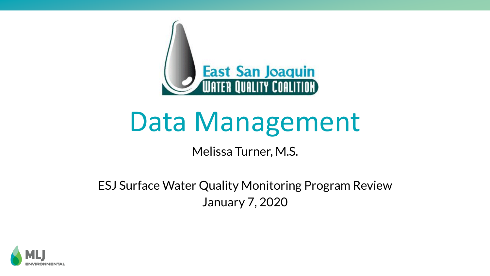

# Data Management

#### Melissa Turner, M.S.

#### ESJ Surface Water Quality Monitoring Program Review January 7, 2020

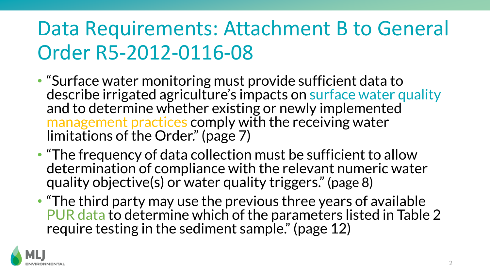## Data Requirements: Attachment B to General Order R5-2012-0116-08

- "Surface water monitoring must provide sufficient data to describe irrigated agriculture's impacts on surface water quality and to determine whether existing or newly implemented management practices comply with the receiving water limitations of the Order." (page 7)
- "The frequency of data collection must be sufficient to allow determination of compliance with the relevant numeric water quality objective(s) or water quality triggers." (page 8)
- "The third party may use the previous three years of available PUR data to determine which of the parameters listed in Table 2 require testing in the sediment sample." (page 12)

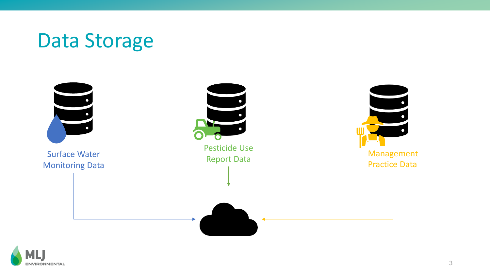### Data Storage



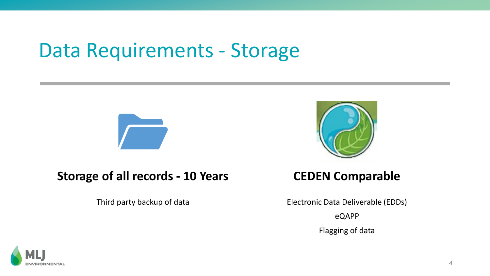### Data Requirements - Storage



#### **Storage of all records - 10 Years**

Third party backup of data



#### **CEDEN Comparable**

Electronic Data Deliverable (EDDs) eQAPP Flagging of data

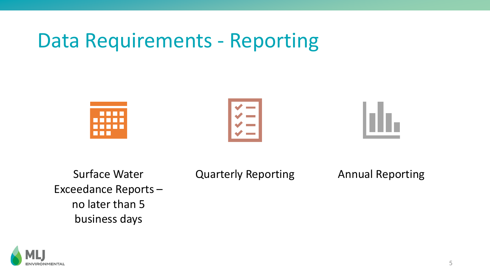#### Data Requirements - Reporting







Surface Water Exceedance Reports – no later than 5 business days

Quarterly Reporting Annual Reporting

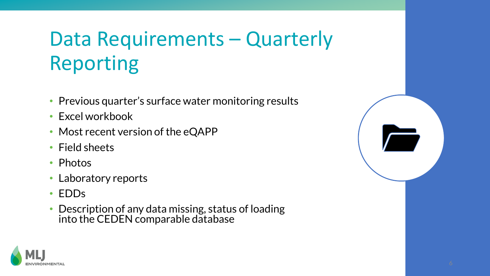## Data Requirements – Quarterly Reporting

- Previous quarter's surface water monitoring results
- Excel workbook
- Most recent version of the eQAPP
- Field sheets
- Photos
- Laboratory reports
- EDDs
- Description of any data missing, status of loading into the CEDEN comparable database



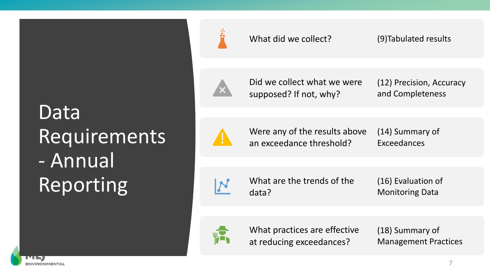## Data Requirements - Annual Reporting



What did we collect? (9)Tabulated results

Did we collect what we were supposed? If not, why?

(12) Precision, Accuracy and Completeness

Were any of the results above an exceedance threshold?

(14) Summary of Exceedances



What are the trends of the data?

(16) Evaluation of Monitoring Data



What practices are effective at reducing exceedances?

(18) Summary of Management Practices

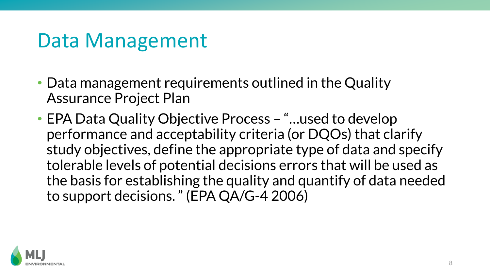### Data Management

- Data management requirements outlined in the Quality Assurance Project Plan
- EPA Data Quality Objective Process "...used to develop performance and acceptability criteria (or DQOs) that clarify study objectives, define the appropriate type of data and specify tolerable levels of potential decisions errors that will be used as the basis for establishing the quality and quantify of data needed to support decisions. " (EPA QA/G-4 2006)

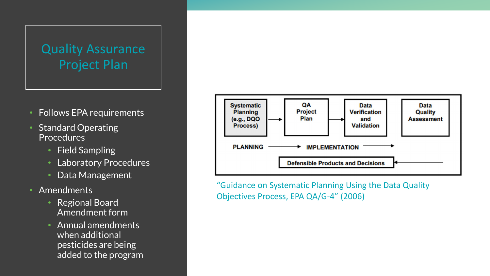#### Quality Assurance Project Plan

- Follows EPA requirements
- Standard Operating **Procedures** 
	- Field Sampling
	- Laboratory Procedures
	- Data Management
- Amendments
	- Regional Board Amendment form
	- Annual amendments when additional pesticides are being added to the program



"Guidance on Systematic Planning Using the Data Quality Objectives Process, EPA QA/G-4" (2006)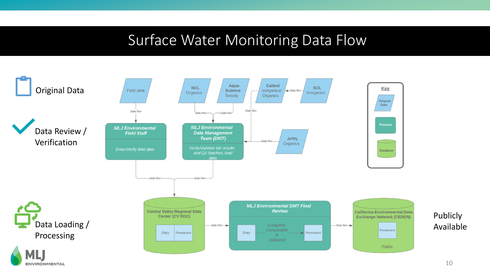#### Surface Water Monitoring Data Flow

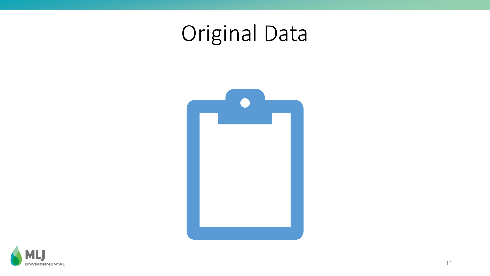## Original Data



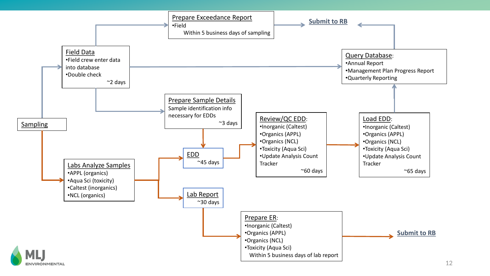

**ENVIRONMENTAL**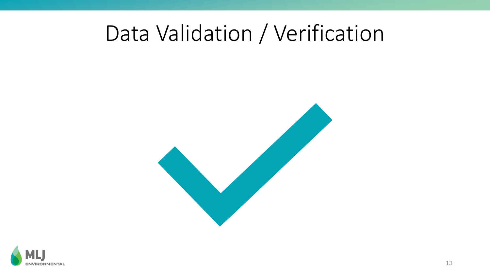### Data Validation / Verification



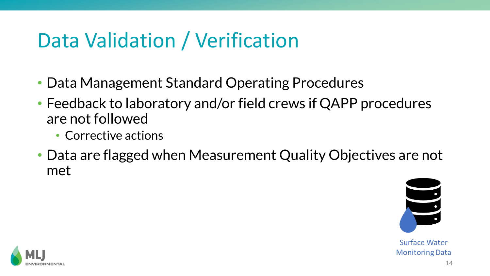### Data Validation / Verification

- Data Management Standard Operating Procedures
- Feedback to laboratory and/or field crews if QAPP procedures are not followed
	- Corrective actions
- Data are flagged when Measurement Quality Objectives are not met



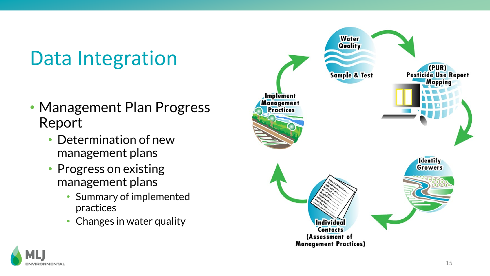## Data Integration

- Management Plan Progress Report
	- Determination of new management plans
	- Progress on existing management plans
		- Summary of implemented practices
		- Changes in water quality



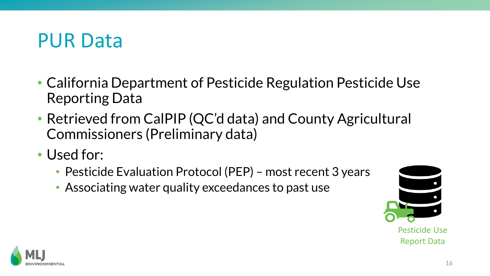#### PUR Data

- California Department of Pesticide Regulation Pesticide Use Reporting Data
- Retrieved from CalPIP (QC'd data) and County Agricultural Commissioners (Preliminary data)
- Used for:
	- Pesticide Evaluation Protocol (PEP) most recent 3 years
	- Associating water quality exceedances to past use



Pesticide Use Report Data

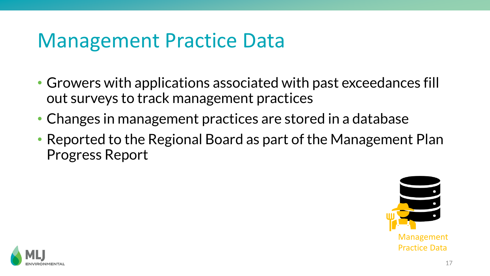#### Management Practice Data

- Growers with applications associated with past exceedances fill out surveys to track management practices
- Changes in management practices are stored in a database
- Reported to the Regional Board as part of the Management Plan Progress Report